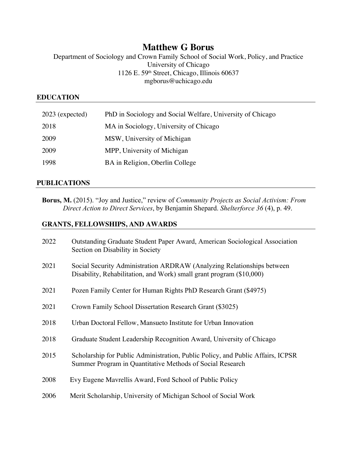# **Matthew G Borus**

Department of Sociology and Crown Family School of Social Work, Policy, and Practice University of Chicago 1126 E. 59th Street, Chicago, Illinois 60637 mgborus@uchicago.edu

#### **EDUCATION**

| $2023$ (expected) | PhD in Sociology and Social Welfare, University of Chicago |
|-------------------|------------------------------------------------------------|
| 2018              | MA in Sociology, University of Chicago                     |
| 2009              | MSW, University of Michigan                                |
| 2009              | MPP, University of Michigan                                |
| 1998              | BA in Religion, Oberlin College                            |

#### **PUBLICATIONS**

**Borus, M.** (2015). "Joy and Justice," review of *Community Projects as Social Activism: From Direct Action to Direct Services*, by Benjamin Shepard. *Shelterforce 36* (4), p. 49.

# **GRANTS, FELLOWSHIPS, AND AWARDS**

| 2022 | Outstanding Graduate Student Paper Award, American Sociological Association<br>Section on Disability in Society                                |
|------|------------------------------------------------------------------------------------------------------------------------------------------------|
| 2021 | Social Security Administration ARDRAW (Analyzing Relationships between<br>Disability, Rehabilitation, and Work) small grant program (\$10,000) |
| 2021 | Pozen Family Center for Human Rights PhD Research Grant (\$4975)                                                                               |
| 2021 | Crown Family School Dissertation Research Grant (\$3025)                                                                                       |
| 2018 | Urban Doctoral Fellow, Mansueto Institute for Urban Innovation                                                                                 |
| 2018 | Graduate Student Leadership Recognition Award, University of Chicago                                                                           |
| 2015 | Scholarship for Public Administration, Public Policy, and Public Affairs, ICPSR<br>Summer Program in Quantitative Methods of Social Research   |
| 2008 | Evy Eugene Mavrellis Award, Ford School of Public Policy                                                                                       |
| 2006 | Merit Scholarship, University of Michigan School of Social Work                                                                                |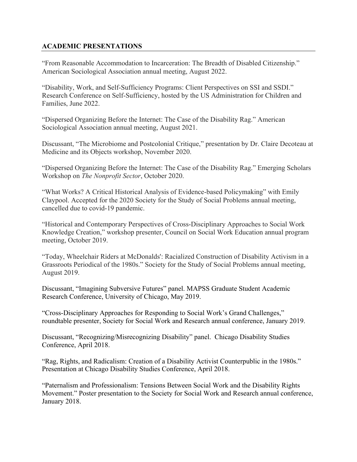### **ACADEMIC PRESENTATIONS**

"From Reasonable Accommodation to Incarceration: The Breadth of Disabled Citizenship." American Sociological Association annual meeting, August 2022.

"Disability, Work, and Self-Sufficiency Programs: Client Perspectives on SSI and SSDI." Research Conference on Self-Sufficiency, hosted by the US Administration for Children and Families, June 2022.

"Dispersed Organizing Before the Internet: The Case of the Disability Rag." American Sociological Association annual meeting, August 2021.

Discussant, "The Microbiome and Postcolonial Critique," presentation by Dr. Claire Decoteau at Medicine and its Objects workshop, November 2020.

"Dispersed Organizing Before the Internet: The Case of the Disability Rag." Emerging Scholars Workshop on *The Nonprofit Sector*, October 2020.

"What Works? A Critical Historical Analysis of Evidence-based Policymaking" with Emily Claypool. Accepted for the 2020 Society for the Study of Social Problems annual meeting, cancelled due to covid-19 pandemic.

"Historical and Contemporary Perspectives of Cross-Disciplinary Approaches to Social Work Knowledge Creation," workshop presenter, Council on Social Work Education annual program meeting, October 2019.

"Today, Wheelchair Riders at McDonalds': Racialized Construction of Disability Activism in a Grassroots Periodical of the 1980s." Society for the Study of Social Problems annual meeting, August 2019.

Discussant, "Imagining Subversive Futures" panel. MAPSS Graduate Student Academic Research Conference, University of Chicago, May 2019.

"Cross-Disciplinary Approaches for Responding to Social Work's Grand Challenges," roundtable presenter, Society for Social Work and Research annual conference, January 2019.

Discussant, "Recognizing/Misrecognizing Disability" panel. Chicago Disability Studies Conference, April 2018.

"Rag, Rights, and Radicalism: Creation of a Disability Activist Counterpublic in the 1980s." Presentation at Chicago Disability Studies Conference, April 2018.

"Paternalism and Professionalism: Tensions Between Social Work and the Disability Rights Movement." Poster presentation to the Society for Social Work and Research annual conference, January 2018.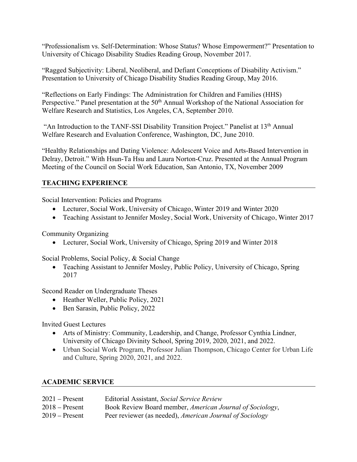"Professionalism vs. Self-Determination: Whose Status? Whose Empowerment?" Presentation to University of Chicago Disability Studies Reading Group, November 2017.

"Ragged Subjectivity: Liberal, Neoliberal, and Defiant Conceptions of Disability Activism." Presentation to University of Chicago Disability Studies Reading Group, May 2016.

"Reflections on Early Findings: The Administration for Children and Families (HHS) Perspective." Panel presentation at the 50<sup>th</sup> Annual Workshop of the National Association for Welfare Research and Statistics, Los Angeles, CA, September 2010.

"An Introduction to the TANF-SSI Disability Transition Project." Panelist at 13th Annual Welfare Research and Evaluation Conference, Washington, DC, June 2010.

"Healthy Relationships and Dating Violence: Adolescent Voice and Arts-Based Intervention in Delray, Detroit." With Hsun-Ta Hsu and Laura Norton-Cruz. Presented at the Annual Program Meeting of the Council on Social Work Education, San Antonio, TX, November 2009

## **TEACHING EXPERIENCE**

Social Intervention: Policies and Programs

- Lecturer, Social Work, University of Chicago, Winter 2019 and Winter 2020
- Teaching Assistant to Jennifer Mosley, Social Work, University of Chicago, Winter 2017

Community Organizing

• Lecturer, Social Work, University of Chicago, Spring 2019 and Winter 2018

Social Problems, Social Policy, & Social Change

• Teaching Assistant to Jennifer Mosley, Public Policy, University of Chicago, Spring 2017

Second Reader on Undergraduate Theses

- Heather Weller, Public Policy, 2021
- Ben Sarasin, Public Policy, 2022

Invited Guest Lectures

- Arts of Ministry: Community, Leadership, and Change, Professor Cynthia Lindner, University of Chicago Divinity School, Spring 2019, 2020, 2021, and 2022.
- Urban Social Work Program, Professor Julian Thompson, Chicago Center for Urban Life and Culture, Spring 2020, 2021, and 2022.

### **ACADEMIC SERVICE**

| $2021 -$ Present | Editorial Assistant, Social Service Review               |
|------------------|----------------------------------------------------------|
| $2018 -$ Present | Book Review Board member, American Journal of Sociology, |
| $2019 -$ Present | Peer reviewer (as needed), American Journal of Sociology |